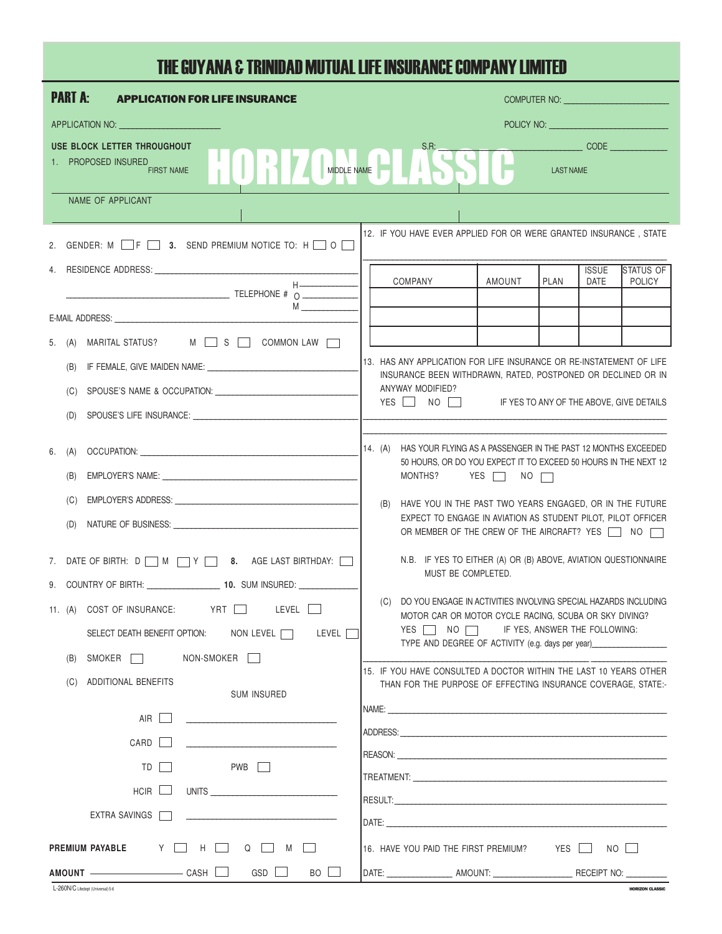## THE GUYANA & TRINIDAD MUTUAL LIFE INSURANCE COMPANY LIMITED

| <b>PART A:</b><br><b>APPLICATION FOR LIFE INSURANCE</b>                                                                                        | COMPUTER NO: University of the COMPUTER NO:                                                                                                                                                                                                                                                                                                                 |  |  |  |  |  |  |
|------------------------------------------------------------------------------------------------------------------------------------------------|-------------------------------------------------------------------------------------------------------------------------------------------------------------------------------------------------------------------------------------------------------------------------------------------------------------------------------------------------------------|--|--|--|--|--|--|
| APPLICATION NO: University of APPLICATION NO:                                                                                                  |                                                                                                                                                                                                                                                                                                                                                             |  |  |  |  |  |  |
| USE BLOCK LETTER THROUGHOUT                                                                                                                    | $\begin{picture}(10,10) \put(0,0){\line(1,0){10}} \put(15,0){\line(1,0){10}} \put(15,0){\line(1,0){10}} \put(15,0){\line(1,0){10}} \put(15,0){\line(1,0){10}} \put(15,0){\line(1,0){10}} \put(15,0){\line(1,0){10}} \put(15,0){\line(1,0){10}} \put(15,0){\line(1,0){10}} \put(15,0){\line(1,0){10}} \put(15,0){\line(1,0){10}} \put(15,0){\line(1$<br>S.R: |  |  |  |  |  |  |
| MIDDLE NAME<br>1. PROPOSED INSURED<br><b>FIRST NAME</b>                                                                                        | <b>LAST NAME</b>                                                                                                                                                                                                                                                                                                                                            |  |  |  |  |  |  |
| NAME OF APPLICANT                                                                                                                              |                                                                                                                                                                                                                                                                                                                                                             |  |  |  |  |  |  |
| 12. IF YOU HAVE EVER APPLIED FOR OR WERE GRANTED INSURANCE, STATE<br>2. GENDER: M $\Box$ F $\Box$ 3. SEND PREMIUM NOTICE TO: H $\Box$ O $\Box$ |                                                                                                                                                                                                                                                                                                                                                             |  |  |  |  |  |  |
|                                                                                                                                                | <b>ISSUE</b><br><b>ISTATUS OF</b><br>AMOUNT<br>PLAN<br><b>POLICY</b><br>COMPANY<br>DATE                                                                                                                                                                                                                                                                     |  |  |  |  |  |  |
| TELEPHONE # 0                                                                                                                                  |                                                                                                                                                                                                                                                                                                                                                             |  |  |  |  |  |  |
| M                                                                                                                                              |                                                                                                                                                                                                                                                                                                                                                             |  |  |  |  |  |  |
| 5. (A) MARITAL STATUS? M S S COMMON LAW                                                                                                        |                                                                                                                                                                                                                                                                                                                                                             |  |  |  |  |  |  |
| (B)                                                                                                                                            | 113. HAS ANY APPLICATION FOR LIFE INSURANCE OR RE-INSTATEMENT OF LIFE                                                                                                                                                                                                                                                                                       |  |  |  |  |  |  |
| SPOUSE'S NAME & OCCUPATION: CONTRACT AND A SPOUSE'S NAME & OCCUPATION:<br>(C)                                                                  | INSURANCE BEEN WITHDRAWN, RATED, POSTPONED OR DECLINED OR IN<br>ANYWAY MODIFIED?                                                                                                                                                                                                                                                                            |  |  |  |  |  |  |
| (D)                                                                                                                                            | YES NO IF YES TO ANY OF THE ABOVE, GIVE DETAILS                                                                                                                                                                                                                                                                                                             |  |  |  |  |  |  |
|                                                                                                                                                |                                                                                                                                                                                                                                                                                                                                                             |  |  |  |  |  |  |
| OCCUPATION: WE ARREST A STATE OF THE STATE OF THE STATE OF THE STATE OF THE STATE OF THE STATE OF THE STATE OF<br>6. (A)                       | 14. $(A)$<br>HAS YOUR FLYING AS A PASSENGER IN THE PAST 12 MONTHS EXCEEDED<br>50 HOURS, OR DO YOU EXPECT IT TO EXCEED 50 HOURS IN THE NEXT 12                                                                                                                                                                                                               |  |  |  |  |  |  |
| (B)                                                                                                                                            | MONTHS? YES $\Box$ NO                                                                                                                                                                                                                                                                                                                                       |  |  |  |  |  |  |
| (C)                                                                                                                                            | (B)<br>HAVE YOU IN THE PAST TWO YEARS ENGAGED, OR IN THE FUTURE                                                                                                                                                                                                                                                                                             |  |  |  |  |  |  |
| (D)                                                                                                                                            | EXPECT TO ENGAGE IN AVIATION AS STUDENT PILOT, PILOT OFFICER<br>OR MEMBER OF THE CREW OF THE AIRCRAFT? YES \\ NO                                                                                                                                                                                                                                            |  |  |  |  |  |  |
| 7. DATE OF BIRTH: D M M Y M 8. AGE LAST BIRTHDAY:                                                                                              | N.B. IF YES TO EITHER (A) OR (B) ABOVE, AVIATION QUESTIONNAIRE                                                                                                                                                                                                                                                                                              |  |  |  |  |  |  |
| 9. COUNTRY OF BIRTH: ____________________ 10. SUM INSURED: _____________                                                                       | MUST BE COMPLETED.                                                                                                                                                                                                                                                                                                                                          |  |  |  |  |  |  |
| 11. (A) COST OF INSURANCE: YRT LEVEL                                                                                                           | DO YOU ENGAGE IN ACTIVITIES INVOLVING SPECIAL HAZARDS INCLUDING<br>(C)<br>MOTOR CAR OR MOTOR CYCLE RACING, SCUBA OR SKY DIVING?                                                                                                                                                                                                                             |  |  |  |  |  |  |
| SELECT DEATH BENEFIT OPTION: NON LEVEL<br>LEVEL                                                                                                | YES NO F YES, ANSWER THE FOLLOWING:                                                                                                                                                                                                                                                                                                                         |  |  |  |  |  |  |
| SMOKER NON-SMOKER<br>(B)                                                                                                                       | TYPE AND DEGREE OF ACTIVITY (e.g. days per year) ________________________________                                                                                                                                                                                                                                                                           |  |  |  |  |  |  |
| ADDITIONAL BENEFITS<br>(C)                                                                                                                     | 15. IF YOU HAVE CONSULTED A DOCTOR WITHIN THE LAST 10 YEARS OTHER<br>THAN FOR THE PURPOSE OF EFFECTING INSURANCE COVERAGE. STATE:-                                                                                                                                                                                                                          |  |  |  |  |  |  |
| <b>SUM INSURED</b>                                                                                                                             |                                                                                                                                                                                                                                                                                                                                                             |  |  |  |  |  |  |
| AIR                                                                                                                                            |                                                                                                                                                                                                                                                                                                                                                             |  |  |  |  |  |  |
| CARD  <br>$\mathcal{L}$                                                                                                                        |                                                                                                                                                                                                                                                                                                                                                             |  |  |  |  |  |  |
| TD <b>T</b><br>PWB T                                                                                                                           |                                                                                                                                                                                                                                                                                                                                                             |  |  |  |  |  |  |
| UNITS<br>$HCIR$ $\Box$                                                                                                                         |                                                                                                                                                                                                                                                                                                                                                             |  |  |  |  |  |  |
| EXTRA SAVINGS                                                                                                                                  |                                                                                                                                                                                                                                                                                                                                                             |  |  |  |  |  |  |
| PREMIUM PAYABLE Y   H   Q   M  <br>16. HAVE YOU PAID THE FIRST PREMIUM? YES NO                                                                 |                                                                                                                                                                                                                                                                                                                                                             |  |  |  |  |  |  |
| AMOUNT CASH GSD<br>BO                                                                                                                          | DATE: ____________________ AMOUNT: ___________________________RECEIPT NO: ___________                                                                                                                                                                                                                                                                       |  |  |  |  |  |  |